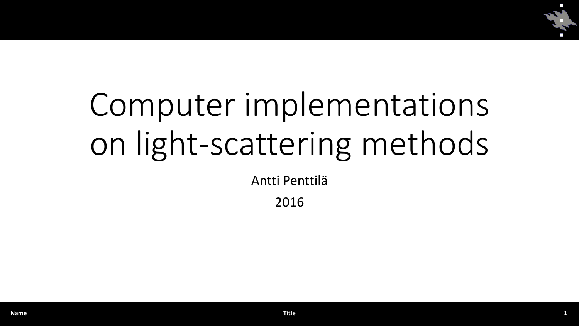

## Computer implementations on light-scattering methods

Antti Penttilä

2016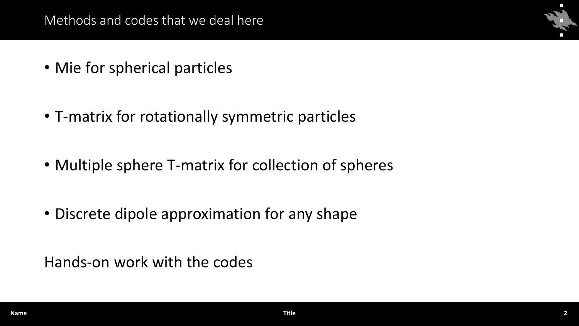- Mie for spherical particles
- T-matrix for rotationally symmetric particles
- Multiple sphere T-matrix for collection of spheres
- Discrete dipole approximation for any shape

Hands-on work with the codes

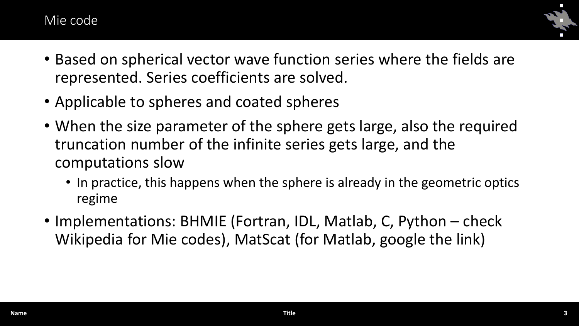## Mie code



- Based on spherical vector wave function series where the fields are represented. Series coefficients are solved.
- Applicable to spheres and coated spheres
- When the size parameter of the sphere gets large, also the required truncation number of the infinite series gets large, and the computations slow
	- In practice, this happens when the sphere is already in the geometric optics regime
- Implementations: BHMIE (Fortran, IDL, Matlab, C, Python check Wikipedia for Mie codes), MatScat (for Matlab, google the link)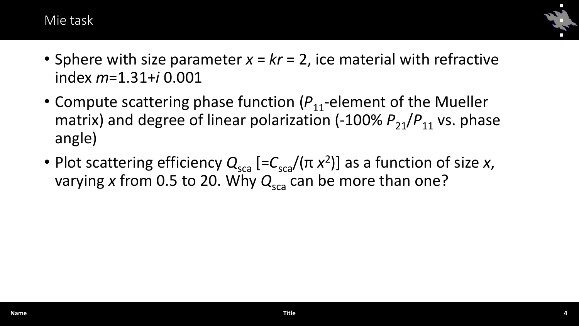Mie task



- Sphere with size parameter *x* = *kr* = 2, ice material with refractive index *m*=1.31+*i* 0.001
- Compute scattering phase function ( $P_{11}$ -element of the Mueller matrix) and degree of linear polarization  $(-100\% P_{21}/P_{11}$  vs. phase angle)
- Plot scattering efficiency  $Q_{\text{sca}}$  [= $C_{\text{sca}}/(\pi x^2)$ ] as a function of size *x*, varying x from 0.5 to 20. Why  $Q_{sca}$  can be more than one?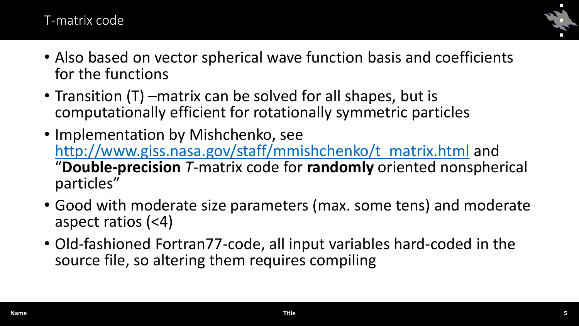## T-matrix code



- Also based on vector spherical wave function basis and coefficients for the functions
- Transition (T) –matrix can be solved for all shapes, but is computationally efficient for rotationally symmetric particles
- Implementation by Mishchenko, see [http://www.giss.nasa.gov/staff/mmishchenko/t\\_matrix.html](http://www.giss.nasa.gov/staff/mmishchenko/t_matrix.html) and "**Double-precision** *T*-matrix code for **randomly** oriented nonspherical particles"
- Good with moderate size parameters (max. some tens) and moderate aspect ratios (<4)
- Old-fashioned Fortran77-code, all input variables hard-coded in the source file, so altering them requires compiling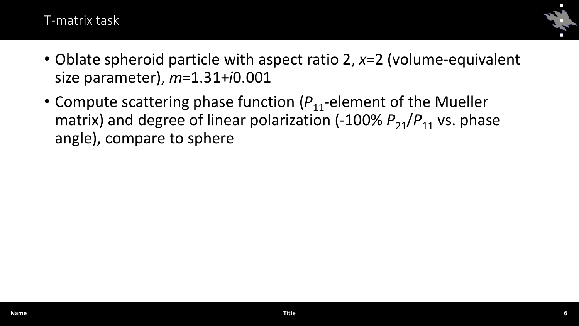## T-matrix task



- Oblate spheroid particle with aspect ratio 2, *x*=2 (volume-equivalent size parameter), *m*=1.31+*i*0.001
- Compute scattering phase function ( $P_{11}$ -element of the Mueller matrix) and degree of linear polarization  $(-100\% P_{21}/P_{11}$  vs. phase angle), compare to sphere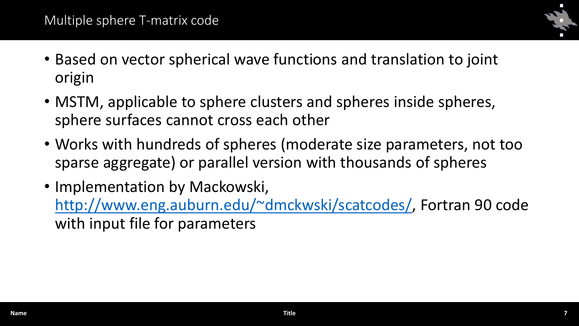

- Based on vector spherical wave functions and translation to joint origin
- MSTM, applicable to sphere clusters and spheres inside spheres, sphere surfaces cannot cross each other
- Works with hundreds of spheres (moderate size parameters, not too sparse aggregate) or parallel version with thousands of spheres
- Implementation by Mackowski, <http://www.eng.auburn.edu/~dmckwski/scatcodes/>, Fortran 90 code with input file for parameters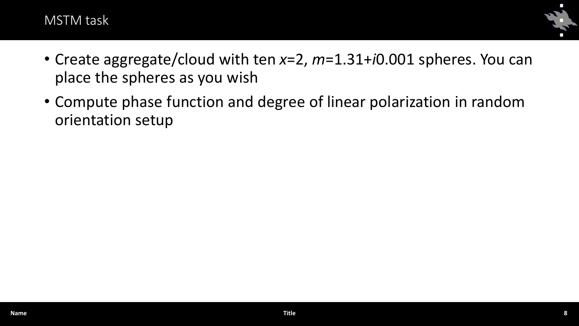



- Create aggregate/cloud with ten *x*=2, *m*=1.31+*i*0.001 spheres. You can place the spheres as you wish
- Compute phase function and degree of linear polarization in random orientation setup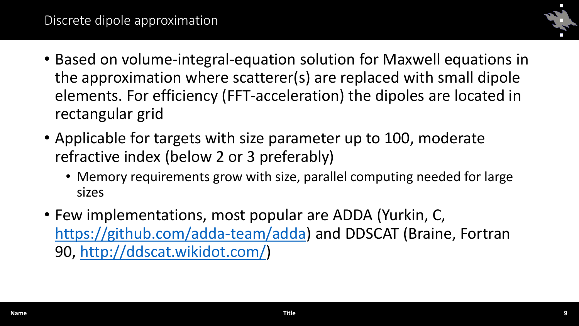

- Based on volume-integral-equation solution for Maxwell equations in the approximation where scatterer(s) are replaced with small dipole elements. For efficiency (FFT-acceleration) the dipoles are located in rectangular grid
- Applicable for targets with size parameter up to 100, moderate refractive index (below 2 or 3 preferably)
	- Memory requirements grow with size, parallel computing needed for large sizes
- Few implementations, most popular are ADDA (Yurkin, C, [https://github.com/adda-team/adda\)](https://github.com/adda-team/adda) and DDSCAT (Braine, Fortran 90, <http://ddscat.wikidot.com/>)